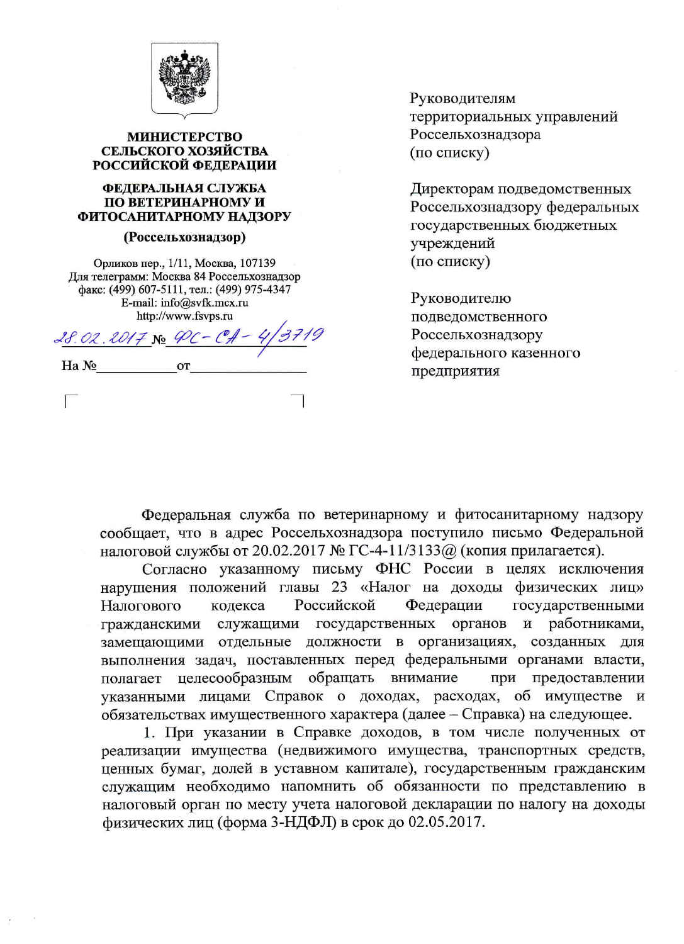

### **МИНИСТЕРСТВО** СЕЛЬСКОГО ХОЗЯЙСТВА РОССИЙСКОЙ ФЕДЕРАЦИИ

#### ФЕДЕРАЛЬНАЯ СЛУЖБА ПО ВЕТЕРИНАРНОМУ И ФИТОСАНИТАРНОМУ НАДЗОРУ

#### (Россельхознадзор)

Орликов пер., 1/11, Москва, 107139 Для телеграмм: Москва 84 Россельхознадзор факс: (499) 607-5111, тел.: (499) 975-4347 E-mail: info@svfk.mcx.ru http://www.fsvps.ru

 $28.02.2017$  No PC-CA-

Ha No

 $\Box$ 

Руководителям территориальных управлений Россельхознадзора (по списку)

Директорам подведомственных Россельхознадзору федеральных государственных бюджетных учреждений (по списку)

Руководителю подведомственного Россельхознадзору федерального казенного предприятия

Федеральная служба по ветеринарному и фитосанитарному надзору сообщает, что в адрес Россельхознадзора поступило письмо Федеральной налоговой службы от 20.02.2017 № ГС-4-11/3133@ (копия прилагается).

Согласно указанному письму ФНС России в целях исключения нарушения положений главы 23 «Налог на доходы физических лиц» Российской Налогового кодекса Федерации государственными органов работниками, служащими государственных  $\mathbf{M}$ гражданскими замещающими отдельные должности в организациях, созданных для выполнения задач, поставленных перед федеральными органами власти, целесообразным обращать внимание полагает при предоставлении указанными лицами Справок о доходах, расходах, об имуществе и обязательствах имущественного характера (далее – Справка) на следующее.

1. При указании в Справке доходов, в том числе полученных от реализации имущества (недвижимого имущества, транспортных средств, ценных бумаг, долей в уставном капитале), государственным гражданским служащим необходимо напомнить об обязанности по представлению в налоговый орган по месту учета налоговой декларации по налогу на доходы физических лиц (форма 3-НДФЛ) в срок до 02.05.2017.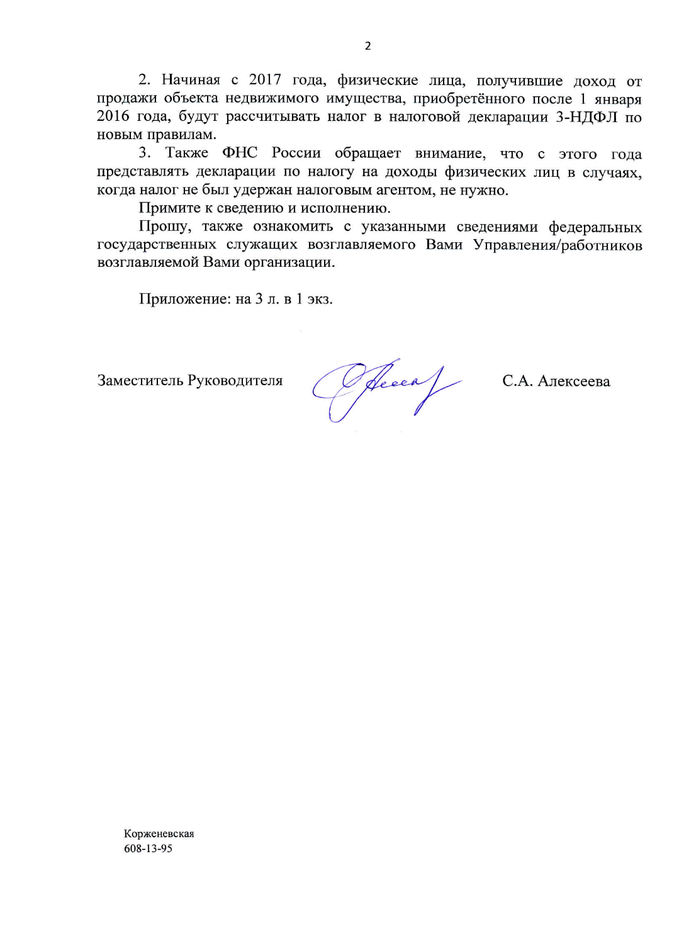2. Начиная с 2017 года, физические лица, получившие доход от продажи объекта недвижимого имущества, приобретённого после 1 января 2016 года, будут рассчитывать налог в налоговой декларации 3-НДФЛ по новым правилам.

3. Также ФНС России обращает внимание, что с этого года представлять декларации по налогу на доходы физических лиц в случаях, когда налог не был удержан налоговым агентом, не нужно.

Примите к сведению и исполнению.

Прошу, также ознакомить с указанными сведениями федеральных государственных служащих возглавляемого Вами Управления/работников возглавляемой Вами организации.

Приложение: на 3 л. в 1 экз.

Заместитель Руководителя

Offecea C.A. AJEKCEEBA

Корженевская 608-13-95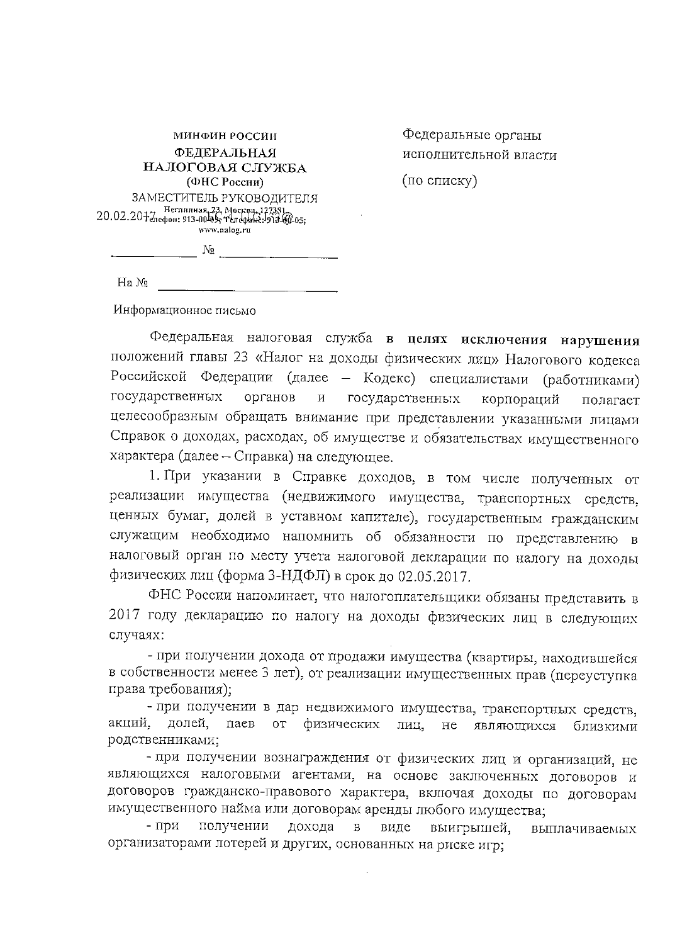| МИНФИН РОССИИ                                                                                                                                  |
|------------------------------------------------------------------------------------------------------------------------------------------------|
| ФЕДЕРАЛЬНАЯ                                                                                                                                    |
| НАЛОГОВАЯ СЛУЖБА                                                                                                                               |
| (ФНС России)                                                                                                                                   |
| ЗАМЕСТИТЕЛЬ РУКОВОДИТЕЛЯ<br>20.02.20 + 7 Неглинная 23, Москва, 127381.<br>20.02.20 + 7 лефон: 913-00 в 9; Телефанг: 913 44-05;<br>www.nalog.ru |
| No                                                                                                                                             |

Федеральные органы исполнительной власти

(по списку)

 $Ha N_2$ 

Информационное письмо

Федеральная налоговая служба в целях исключения нарушения положений главы 23 «Налог на доходы физических лиц» Налогового кодекса Российской Федерации (далее - Кодекс) специалистами (работниками) государственных органов  $\,$  M  $\,$ государственных корпораций полагает целесообразным обращать внимание при представлении указанными лицами Справок о доходах, расходах, об имуществе и обязательствах имущественного характера (далее - Справка) на следующее.

1. При указании в Справке доходов, в том числе полученных от реализации имущества (недвижимого имущества, транспортных средств, ценных бумаг, долей в уставном капитале), государственным гражданским служащим необходимо напомнить об обязанности по представлению в налоговый орган по месту учета налоговой декларации по налогу на доходы физических лиц (форма 3-НДФЛ) в срок до 02.05.2017.

ФНС России напоминает, что налогоплательщики обязаны представить в 2017 году декларацию по налогу на доходы физических лиц в следующих случаях:

- при получении дохода от продажи имущества (квартиры, находившейся в собственности менее 3 лет), от реализации имущественных прав (переуступка права требования);

- при получении в дар недвижимого имущества, транспортных средств, акций, долей, паев от физических лиц, не являющихся близкими родственниками;

- при получении вознаграждения от физических лиц и организаций, не являющихся налоговыми агентами, на основе заключенных договоров и договоров гражданско-правового характера, включая доходы по договорам имущественного найма или договорам аренды любого имущества;

- при получении дохода в виде выигрышей, выплачиваемых организаторами лотерей и других, основанных на риске игр;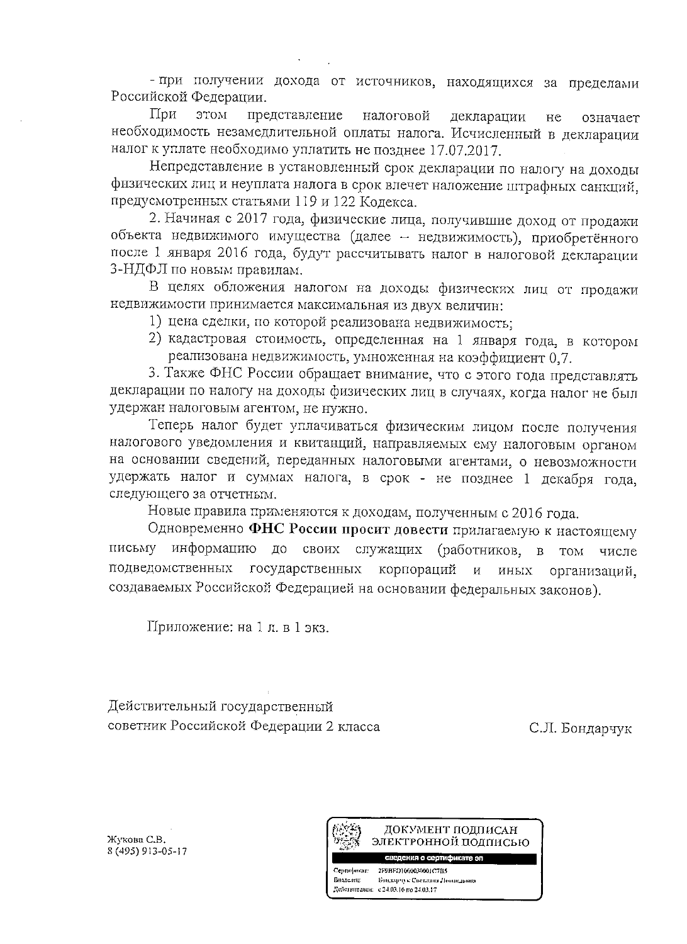- при получении дохода от источников, находящихся за пределами Российской Федерации.

При этом представление налоговой декларации не означает необходимость незамедлительной оплаты налога. Исчисленный в декларации налог к уплате необходимо уплатить не позднее 17.07.2017.

Непредставление в установленный срок декларации по налогу на доходы физических лиц и неуплата налога в срок влечет наложение штрафных санкций, предусмотренных статьями 119 и 122 Кодекса.

2. Начиная с 2017 года, физические лица, получившие доход от продажи объекта недвижимого имущества (далее - недвижимость), приобретённого после 1 января 2016 года, будут рассчитывать налог в налоговой декларации 3-НДФЛ по новым правилам.

В целях обложения налогом на доходы физических лиц от продажи недвижимости принимается максимальная из двух величин:

- 1) цена сделки, по которой реализована недвижимость:
- 2) кадастровая стоимость, определенная на 1 января года, в котором реализована недвижимость, умноженная на коэффициент 0.7.

3. Также ФНС России обращает внимание, что с этого года представлять декларации по налогу на доходы физических лиц в случаях, когда налог не был удержан налоговым агентом, не нужно.

Теперь налог будет уплачиваться физическим лицом после получения налогового уведомления и квитанций, направляемых ему налоговым органом на основании сведений, переданных налоговыми агентами, о невозможности удержать налог и суммах налога, в срок - не позднее 1 декабря года, следующего за отчетным.

Новые правила применяются к доходам, полученным с 2016 года.

Одновременно ФНС России просит довести прилагаемую к настоящему письму информацию до своих служащих (работников, в **TOM** числе подведомственных государственных корпораций и иных организаций. создаваемых Российской Федерацией на основании федеральных законов).

Приложение: на 1 л. в 1 экз.

Действительный государственный советник Российской Федерации 2 класса

С.Л. Бондарчук

Жукова С.В. 8 (495) 913-05-17



Centurbusar: 2F9BFD1000030001C7B5 Бондарчук Светлана Леопидовна Видеми: Действителен: с 24.03.16 по 24.03.17